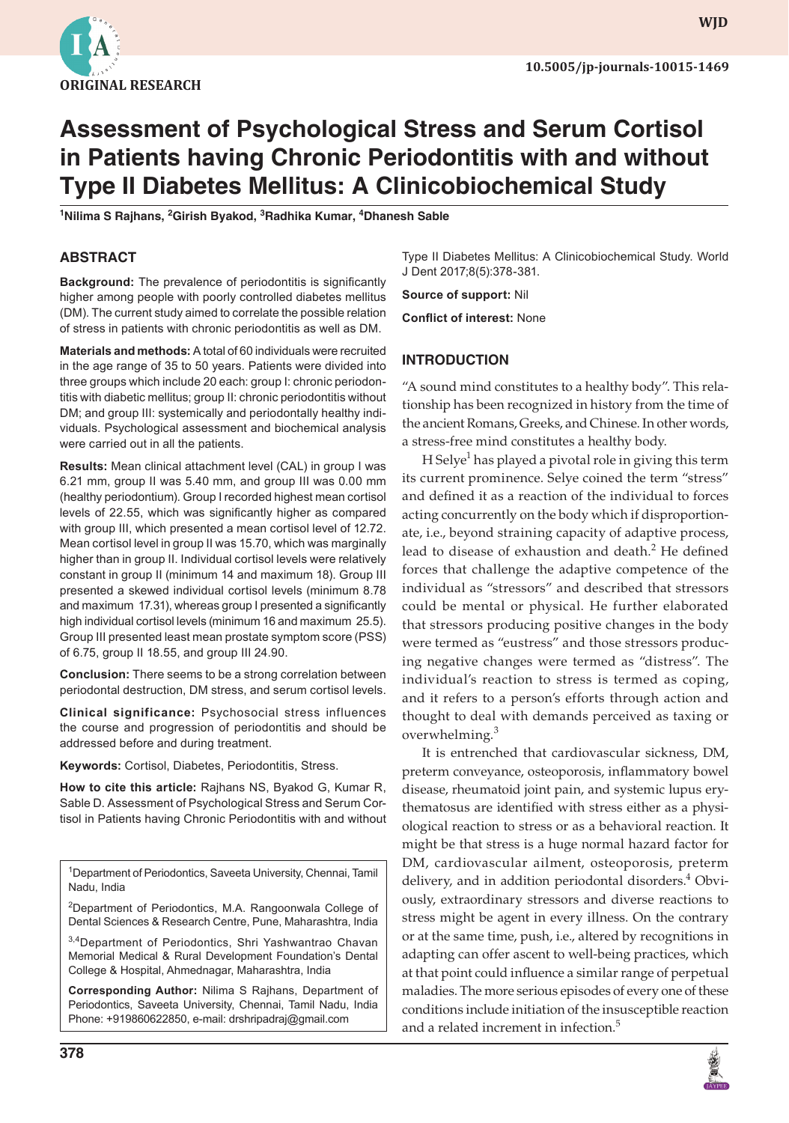

**wjd**

# **Assessment of Psychological Stress and Serum Cortisol in Patients having Chronic Periodontitis with and without Type II Diabetes Mellitus: A Clinicobiochemical Study**

<sup>1</sup>Nilima S Rajhans, <sup>2</sup>Girish Byakod, <sup>3</sup>Radhika Kumar, <sup>4</sup>Dhanesh Sable

#### **ABSTRACT**

**Background:** The prevalence of periodontitis is significantly higher among people with poorly controlled diabetes mellitus (DM). The current study aimed to correlate the possible relation of stress in patients with chronic periodontitis as well as DM.

**Materials and methods:** A total of 60 individuals were recruited in the age range of 35 to 50 years. Patients were divided into three groups which include 20 each: group I: chronic periodontitis with diabetic mellitus; group II: chronic periodontitis without DM; and group III: systemically and periodontally healthy individuals. Psychological assessment and biochemical analysis were carried out in all the patients.

**Results:** Mean clinical attachment level (CAL) in group I was 6.21 mm, group II was 5.40 mm, and group III was 0.00 mm (healthy periodontium). Group I recorded highest mean cortisol levels of 22.55, which was significantly higher as compared with group III, which presented a mean cortisol level of 12.72. Mean cortisol level in group II was 15.70, which was marginally higher than in group II. Individual cortisol levels were relatively constant in group II (minimum 14 and maximum 18). Group III presented a skewed individual cortisol levels (minimum 8.78 and maximum 17.31), whereas group I presented a significantly high individual cortisol levels (minimum 16 and maximum 25.5). Group III presented least mean prostate symptom score (PSS) of 6.75, group II 18.55, and group III 24.90.

**Conclusion:** There seems to be a strong correlation between periodontal destruction, DM stress, and serum cortisol levels.

**Clinical significance:** Psychosocial stress influences the course and progression of periodontitis and should be addressed before and during treatment.

**Keywords:** Cortisol, Diabetes, Periodontitis, Stress.

**How to cite this article:** Rajhans NS, Byakod G, Kumar R, Sable D. Assessment of Psychological Stress and Serum Cortisol in Patients having Chronic Periodontitis with and without

<sup>1</sup>Department of Periodontics, Saveeta University, Chennai, Tamil Nadu, India

<sup>2</sup>Department of Periodontics, M.A. Rangoonwala College of Dental Sciences & Research Centre, Pune, Maharashtra, India

3,4Department of Periodontics, Shri Yashwantrao Chavan Memorial Medical & Rural Development Foundation's Dental College & Hospital, Ahmednagar, Maharashtra, India

**Corresponding Author:** Nilima S Rajhans, Department of Periodontics, Saveeta University, Chennai, Tamil Nadu, India Phone: +919860622850, e-mail: drshripadraj@gmail.com

Type II Diabetes Mellitus: A Clinicobiochemical Study. World J Dent 2017;8(5):378-381.

**Source of support:** Nil

**Conflict of interest:** None

#### **INTRODUCTION**

"A sound mind constitutes to a healthy body". This relationship has been recognized in history from the time of the ancient Romans, Greeks, and Chinese. In other words, a stress-free mind constitutes a healthy body.

H Selye<sup>1</sup> has played a pivotal role in giving this term its current prominence. Selye coined the term "stress" and defined it as a reaction of the individual to forces acting concurrently on the body which if disproportionate, i.e., beyond straining capacity of adaptive process, lead to disease of exhaustion and death.<sup>2</sup> He defined forces that challenge the adaptive competence of the individual as "stressors" and described that stressors could be mental or physical. He further elaborated that stressors producing positive changes in the body were termed as "eustress" and those stressors producing negative changes were termed as "distress". The individual's reaction to stress is termed as coping, and it refers to a person's efforts through action and thought to deal with demands perceived as taxing or overwhelming.<sup>3</sup>

It is entrenched that cardiovascular sickness, DM, preterm conveyance, osteoporosis, inflammatory bowel disease, rheumatoid joint pain, and systemic lupus erythematosus are identified with stress either as a physiological reaction to stress or as a behavioral reaction. It might be that stress is a huge normal hazard factor for DM, cardiovascular ailment, osteoporosis, preterm delivery, and in addition periodontal disorders.<sup>4</sup> Obviously, extraordinary stressors and diverse reactions to stress might be agent in every illness. On the contrary or at the same time, push, i.e., altered by recognitions in adapting can offer ascent to well-being practices, which at that point could influence a similar range of perpetual maladies. The more serious episodes of every one of these conditions include initiation of the insusceptible reaction and a related increment in infection.<sup>5</sup>

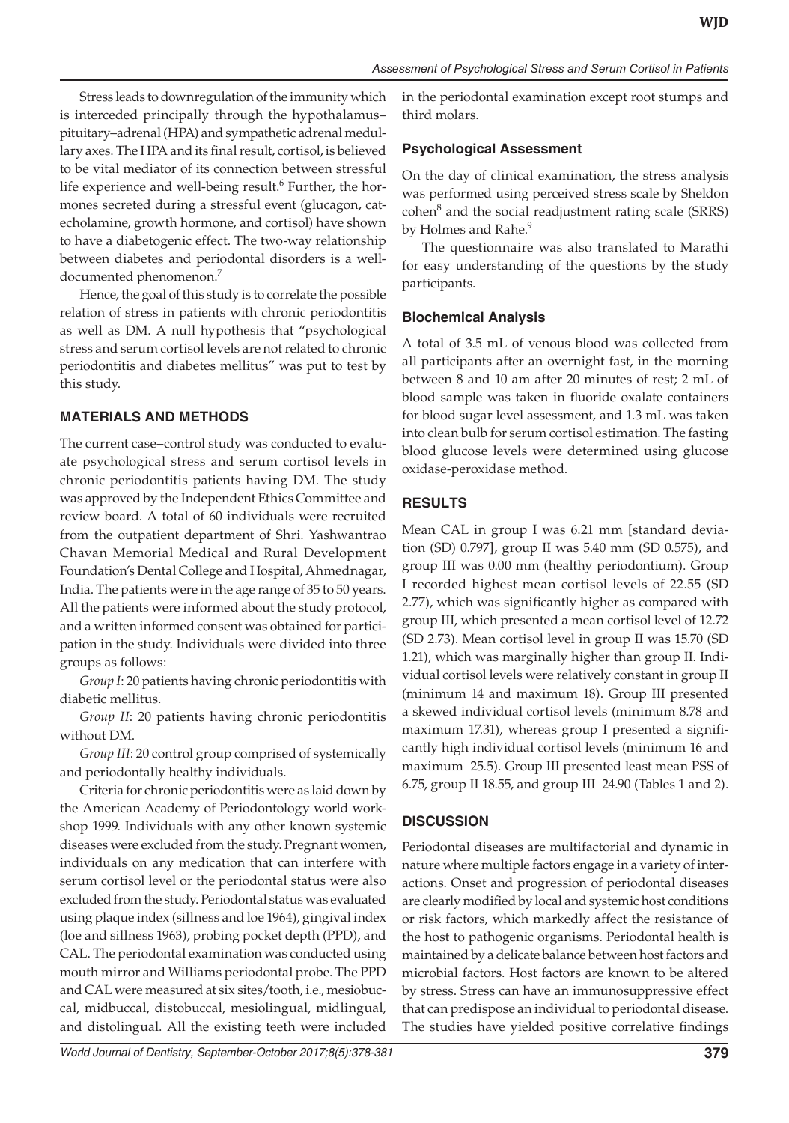Stress leads to downregulation of the immunity which is interceded principally through the hypothalamus– pituitary–adrenal (HPA) and sympathetic adrenal medullary axes. The HPA and its final result, cortisol, is believed to be vital mediator of its connection between stressful life experience and well-being result.<sup>6</sup> Further, the hormones secreted during a stressful event (glucagon, catecholamine, growth hormone, and cortisol) have shown to have a diabetogenic effect. The two-way relationship between diabetes and periodontal disorders is a welldocumented phenomenon.<sup>7</sup>

Hence, the goal of this study is to correlate the possible relation of stress in patients with chronic periodontitis as well as DM. A null hypothesis that "psychological stress and serum cortisol levels are not related to chronic periodontitis and diabetes mellitus" was put to test by this study.

### **MATERIALS AND METHODS**

The current case–control study was conducted to evaluate psychological stress and serum cortisol levels in chronic periodontitis patients having DM. The study was approved by the Independent Ethics Committee and review board. A total of 60 individuals were recruited from the outpatient department of Shri. Yashwantrao Chavan Memorial Medical and Rural Development Foundation's Dental College and Hospital, Ahmednagar, India. The patients were in the age range of 35 to 50 years. All the patients were informed about the study protocol, and a written informed consent was obtained for participation in the study. Individuals were divided into three groups as follows:

*Group I*: 20 patients having chronic periodontitis with diabetic mellitus.

*Group II*: 20 patients having chronic periodontitis without DM.

*Group III*: 20 control group comprised of systemically and periodontally healthy individuals.

Criteria for chronic periodontitis were as laid down by the American Academy of Periodontology world workshop 1999. Individuals with any other known systemic diseases were excluded from the study. Pregnant women, individuals on any medication that can interfere with serum cortisol level or the periodontal status were also excluded from the study. Periodontal status was evaluated using plaque index (sillness and loe 1964), gingival index (loe and sillness 1963), probing pocket depth (PPD), and CAL. The periodontal examination was conducted using mouth mirror and Williams periodontal probe. The PPD and CAL were measured at six sites/tooth, i.e., mesiobuccal, midbuccal, distobuccal, mesiolingual, midlingual, and distolingual. All the existing teeth were included

in the periodontal examination except root stumps and third molars.

#### **Psychological Assessment**

On the day of clinical examination, the stress analysis was performed using perceived stress scale by Sheldon cohen<sup>8</sup> and the social readjustment rating scale (SRRS) by Holmes and Rahe.<sup>9</sup>

The questionnaire was also translated to Marathi for easy understanding of the questions by the study participants.

#### **Biochemical Analysis**

A total of 3.5 mL of venous blood was collected from all participants after an overnight fast, in the morning between 8 and 10 am after 20 minutes of rest; 2 mL of blood sample was taken in fluoride oxalate containers for blood sugar level assessment, and 1.3 mL was taken into clean bulb for serum cortisol estimation. The fasting blood glucose levels were determined using glucose oxidase-peroxidase method.

### **RESULTS**

Mean CAL in group I was 6.21 mm [standard deviation (SD) 0.797], group II was 5.40 mm (SD 0.575), and group III was 0.00 mm (healthy periodontium). Group I recorded highest mean cortisol levels of 22.55 (SD 2.77), which was significantly higher as compared with group III, which presented a mean cortisol level of 12.72 (SD 2.73). Mean cortisol level in group II was 15.70 (SD 1.21), which was marginally higher than group II. Individual cortisol levels were relatively constant in group II (minimum 14 and maximum 18). Group III presented a skewed individual cortisol levels (minimum 8.78 and maximum 17.31), whereas group I presented a significantly high individual cortisol levels (minimum 16 and maximum 25.5). Group III presented least mean PSS of 6.75, group II 18.55, and group III 24.90 (Tables 1 and 2).

## **DISCUSSION**

Periodontal diseases are multifactorial and dynamic in nature where multiple factors engage in a variety of interactions. Onset and progression of periodontal diseases are clearly modified by local and systemic host conditions or risk factors, which markedly affect the resistance of the host to pathogenic organisms. Periodontal health is maintained by a delicate balance between host factors and microbial factors. Host factors are known to be altered by stress. Stress can have an immunosuppressive effect that can predispose an individual to periodontal disease. The studies have yielded positive correlative findings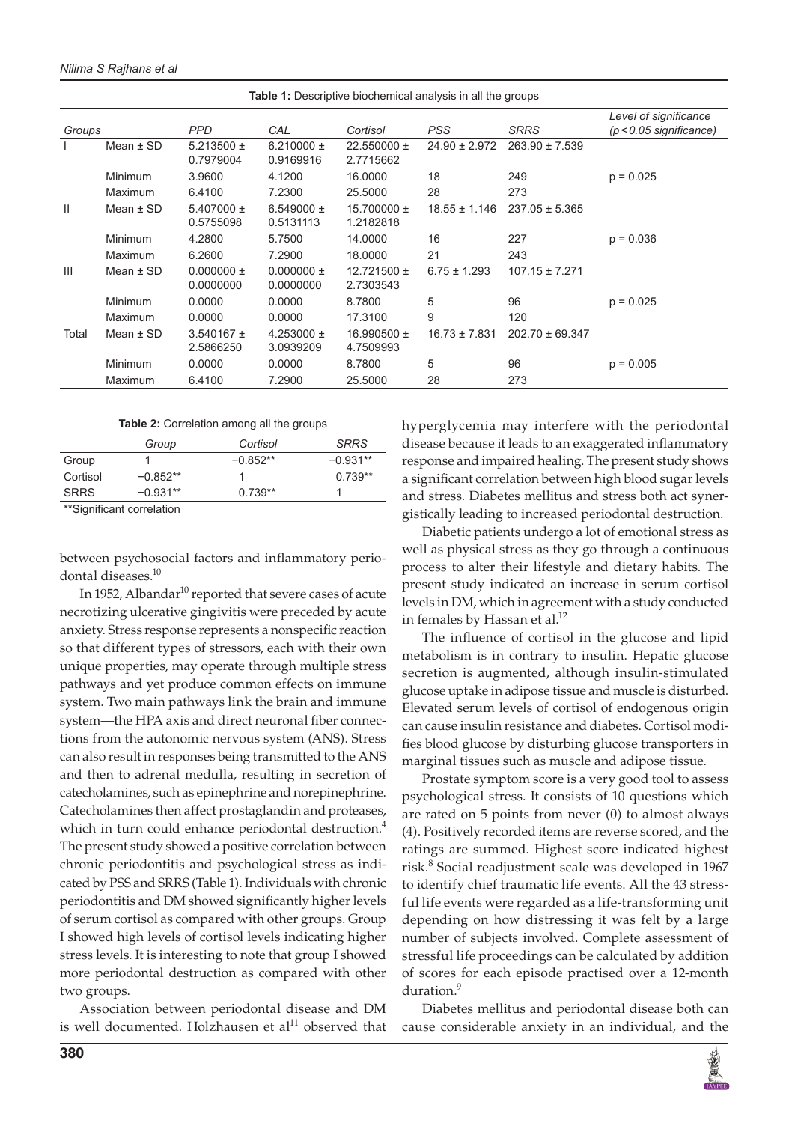| <b>Table 1:</b> Descriptive biochemical analysis in all the groups |               |                             |                             |                              |                   |                     |                                                    |
|--------------------------------------------------------------------|---------------|-----------------------------|-----------------------------|------------------------------|-------------------|---------------------|----------------------------------------------------|
| Groups                                                             |               | <b>PPD</b>                  | CAL                         | Cortisol                     | <b>PSS</b>        | <b>SRRS</b>         | Level of significance<br>$(p < 0.05$ significance) |
|                                                                    | Mean $\pm$ SD | 5.213500 $\pm$<br>0.7979004 | 6.210000 $\pm$<br>0.9169916 | 22.550000 $\pm$<br>2.7715662 | $24.90 \pm 2.972$ | $263.90 \pm 7.539$  |                                                    |
|                                                                    | Minimum       | 3.9600                      | 4.1200                      | 16,0000                      | 18                | 249                 | $p = 0.025$                                        |
|                                                                    | Maximum       | 6.4100                      | 7.2300                      | 25.5000                      | 28                | 273                 |                                                    |
| Ш                                                                  | Mean $\pm$ SD | 5.407000 $\pm$<br>0.5755098 | 6.549000 $\pm$<br>0.5131113 | 15.700000 $\pm$<br>1.2182818 | $18.55 \pm 1.146$ | $237.05 \pm 5.365$  |                                                    |
|                                                                    | Minimum       | 4.2800                      | 5.7500                      | 14.0000                      | 16                | 227                 | $p = 0.036$                                        |
|                                                                    | Maximum       | 6.2600                      | 7.2900                      | 18,0000                      | 21                | 243                 |                                                    |
| Ш                                                                  | Mean $\pm$ SD | $0.000000 \pm$<br>0.0000000 | $0.000000 \pm$<br>0.0000000 | $12.721500 \pm$<br>2.7303543 | $6.75 \pm 1.293$  | $107.15 \pm 7.271$  |                                                    |
|                                                                    | Minimum       | 0.0000                      | 0.0000                      | 8.7800                       | 5                 | 96                  | $p = 0.025$                                        |
|                                                                    | Maximum       | 0.0000                      | 0.0000                      | 17.3100                      | 9                 | 120                 |                                                    |
| Total                                                              | Mean $\pm$ SD | $3.540167 \pm$<br>2.5866250 | 4.253000 $\pm$<br>3.0939209 | 16.990500 $\pm$<br>4.7509993 | $16.73 \pm 7.831$ | $202.70 \pm 69.347$ |                                                    |
|                                                                    | Minimum       | 0.0000                      | 0.0000                      | 8.7800                       | 5                 | 96                  | $p = 0.005$                                        |
|                                                                    | Maximum       | 6.4100                      | 7.2900                      | 25.5000                      | 28                | 273                 |                                                    |

#### **Table 2:** Correlation among all the groups

|          | Group                     | Cortisol   | <b>SRRS</b> |
|----------|---------------------------|------------|-------------|
| Group    |                           | $-0.852**$ | $-0.931**$  |
| Cortisol | $-0.852**$                |            | $0.739**$   |
| SRRS     | $-0.931**$                | $0.739**$  |             |
|          | **Cianificant corrolation |            |             |

ignificant correlation

between psychosocial factors and inflammatory periodontal diseases.<sup>10</sup>

In 1952, Albandar<sup>10</sup> reported that severe cases of acute necrotizing ulcerative gingivitis were preceded by acute anxiety. Stress response represents a nonspecific reaction so that different types of stressors, each with their own unique properties, may operate through multiple stress pathways and yet produce common effects on immune system. Two main pathways link the brain and immune system—the HPA axis and direct neuronal fiber connections from the autonomic nervous system (ANS). Stress can also result in responses being transmitted to the ANS and then to adrenal medulla, resulting in secretion of catecholamines, such as epinephrine and norepinephrine. Catecholamines then affect prostaglandin and proteases, which in turn could enhance periodontal destruction.<sup>4</sup> The present study showed a positive correlation between chronic periodontitis and psychological stress as indicated by PSS and SRRS (Table 1). Individuals with chronic periodontitis and DM showed significantly higher levels of serum cortisol as compared with other groups. Group I showed high levels of cortisol levels indicating higher stress levels. It is interesting to note that group I showed more periodontal destruction as compared with other two groups.

Association between periodontal disease and DM is well documented. Holzhausen et  $al<sup>11</sup>$  observed that hyperglycemia may interfere with the periodontal disease because it leads to an exaggerated inflammatory response and impaired healing. The present study shows a significant correlation between high blood sugar levels and stress. Diabetes mellitus and stress both act synergistically leading to increased periodontal destruction.

Diabetic patients undergo a lot of emotional stress as well as physical stress as they go through a continuous process to alter their lifestyle and dietary habits. The present study indicated an increase in serum cortisol levels in DM, which in agreement with a study conducted in females by Hassan et al.<sup>12</sup>

The influence of cortisol in the glucose and lipid metabolism is in contrary to insulin. Hepatic glucose secretion is augmented, although insulin-stimulated glucose uptake in adipose tissue and muscle is disturbed. Elevated serum levels of cortisol of endogenous origin can cause insulin resistance and diabetes. Cortisol modifies blood glucose by disturbing glucose transporters in marginal tissues such as muscle and adipose tissue.

Prostate symptom score is a very good tool to assess psychological stress. It consists of 10 questions which are rated on 5 points from never (0) to almost always (4). Positively recorded items are reverse scored, and the ratings are summed. Highest score indicated highest risk.<sup>8</sup> Social readjustment scale was developed in 1967 to identify chief traumatic life events. All the 43 stressful life events were regarded as a life-transforming unit depending on how distressing it was felt by a large number of subjects involved. Complete assessment of stressful life proceedings can be calculated by addition of scores for each episode practised over a 12-month duration.<sup>9</sup>

Diabetes mellitus and periodontal disease both can cause considerable anxiety in an individual, and the